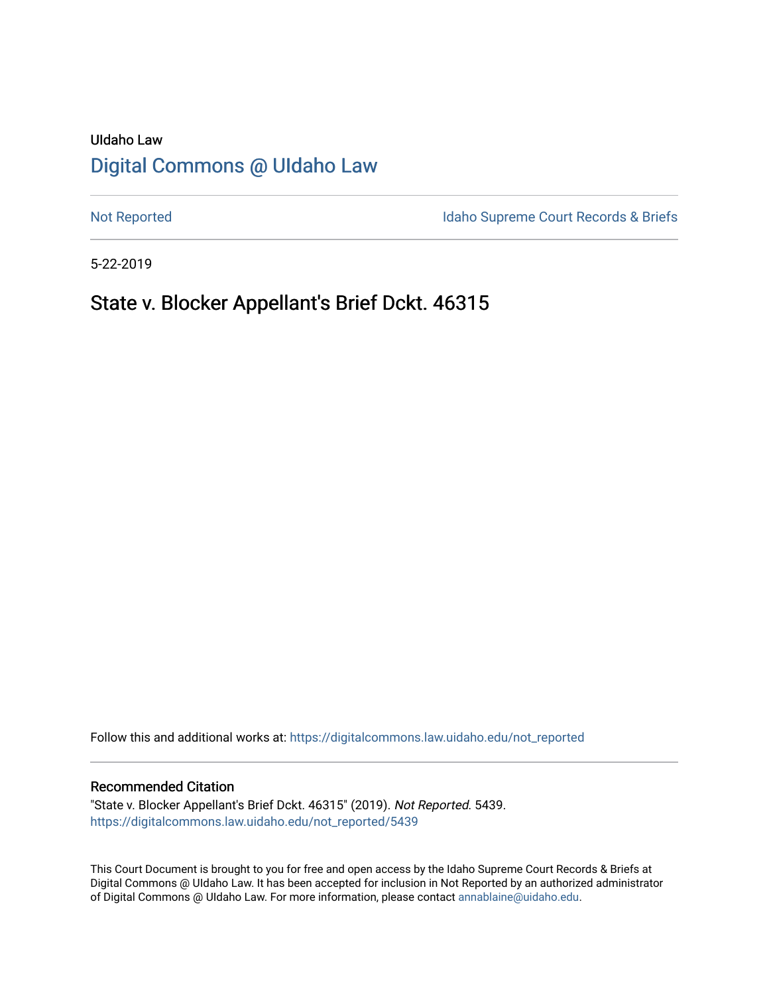# UIdaho Law [Digital Commons @ UIdaho Law](https://digitalcommons.law.uidaho.edu/)

[Not Reported](https://digitalcommons.law.uidaho.edu/not_reported) **Idaho Supreme Court Records & Briefs** 

5-22-2019

## State v. Blocker Appellant's Brief Dckt. 46315

Follow this and additional works at: [https://digitalcommons.law.uidaho.edu/not\\_reported](https://digitalcommons.law.uidaho.edu/not_reported?utm_source=digitalcommons.law.uidaho.edu%2Fnot_reported%2F5439&utm_medium=PDF&utm_campaign=PDFCoverPages) 

#### Recommended Citation

"State v. Blocker Appellant's Brief Dckt. 46315" (2019). Not Reported. 5439. [https://digitalcommons.law.uidaho.edu/not\\_reported/5439](https://digitalcommons.law.uidaho.edu/not_reported/5439?utm_source=digitalcommons.law.uidaho.edu%2Fnot_reported%2F5439&utm_medium=PDF&utm_campaign=PDFCoverPages)

This Court Document is brought to you for free and open access by the Idaho Supreme Court Records & Briefs at Digital Commons @ UIdaho Law. It has been accepted for inclusion in Not Reported by an authorized administrator of Digital Commons @ UIdaho Law. For more information, please contact [annablaine@uidaho.edu](mailto:annablaine@uidaho.edu).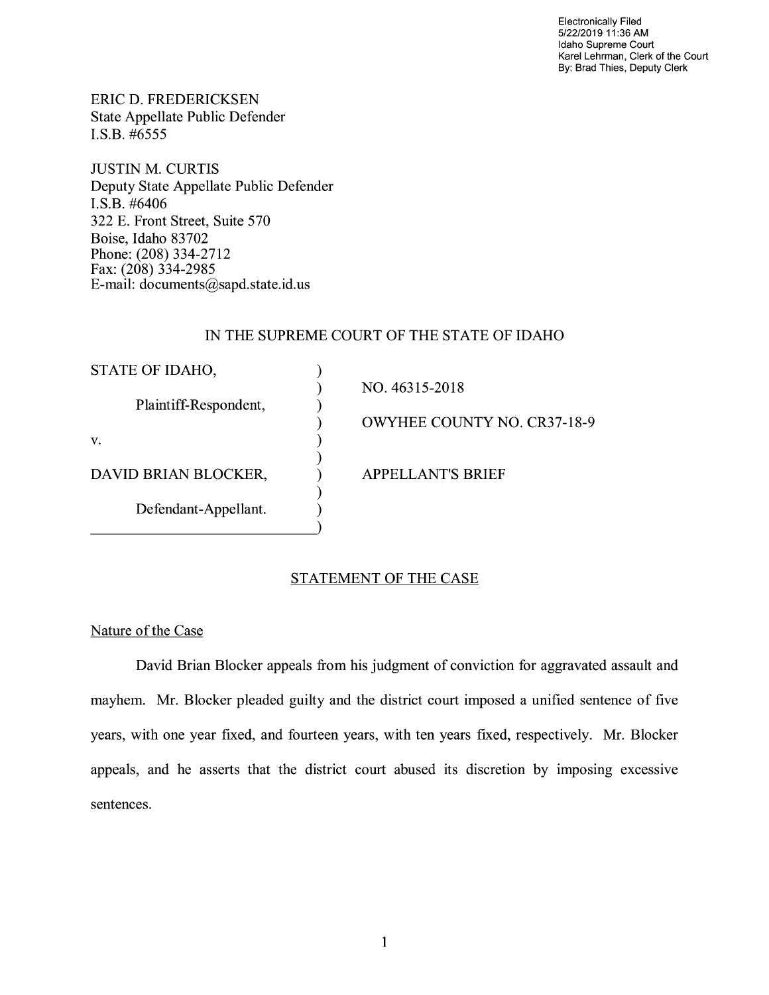Electronically Filed 5/22/2019 11 :36 AM Idaho Supreme Court Karel Lehrman, Clerk of the Court By: Brad Thies, Deputy Clerk

ERIC D. FREDERICKSEN State Appellate Public Defender I.S.B. #6555

JUSTIN M. CURTIS Deputy State Appellate Public Defender **I.S.B.** #6406 322 E. Front Street, Suite 570 Boise, Idaho 83702 Phone: (208) 334-2712 Fax: (208) 334-2985 E-mail: documents@sapd.state.id. us

### IN THE SUPREME COURT OF THE STATE OF IDAHO

| STATE OF IDAHO,       |                                    |
|-----------------------|------------------------------------|
| Plaintiff-Respondent, | NO. 46315-2018                     |
|                       | <b>OWYHEE COUNTY NO. CR37-18-9</b> |
| V.                    |                                    |
| DAVID BRIAN BLOCKER,  | <b>APPELLANT'S BRIEF</b>           |
| Defendant-Appellant.  |                                    |

### STATEMENT OF THE CASE

Nature of the Case

David Brian Blocker appeals from his judgment of conviction for aggravated assault and mayhem. Mr. Blocker pleaded guilty and the district court imposed a unified sentence of five years, with one year fixed, and fourteen years, with ten years fixed, respectively. Mr. Blocker appeals, and he asserts that the district court abused its discretion by imposing excessive sentences.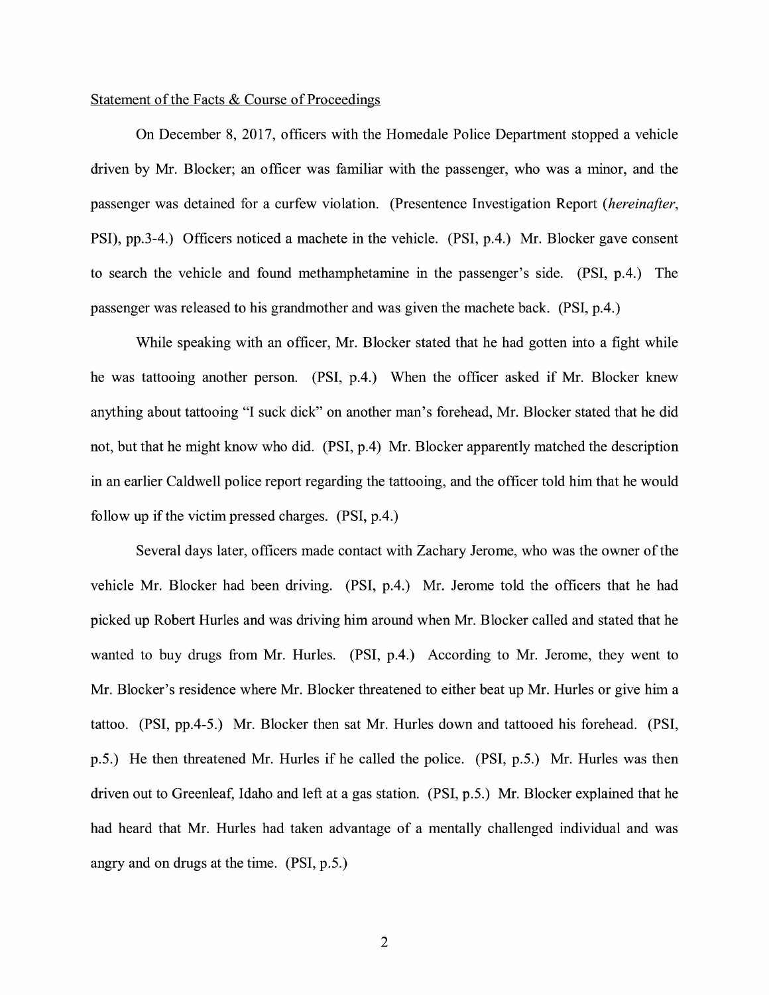#### Statement of the Facts & Course of Proceedings

On December 8, 2017, officers with the Homedale Police Department stopped a vehicle driven by Mr. Blocker; an officer was familiar with the passenger, who was a minor, and the passenger was detained for a curfew violation. (Presentence Investigation Report *(hereinafter,*  PSI), pp.3-4.) Officers noticed a machete in the vehicle. (PSI, p.4.) Mr. Blocker gave consent to search the vehicle and found methamphetamine in the passenger's side. (PSI, p.4.) The passenger was released to his grandmother and was given the machete back. (PSI, p.4.)

While speaking with an officer, Mr. Blocker stated that he had gotten into a fight while he was tattooing another person. (PSI, p.4.) When the officer asked if Mr. Blocker knew anything about tattooing "I suck dick" on another man's forehead, Mr. Blocker stated that he did not, but that he might know who did. (PSI, p.4) Mr. Blocker apparently matched the description in an earlier Caldwell police report regarding the tattooing, and the officer told him that he would follow up if the victim pressed charges. (PSI, p.4.)

Several days later, officers made contact with Zachary Jerome, who was the owner of the vehicle Mr. Blocker had been driving. (PSI, p.4.) Mr. Jerome told the officers that he had picked up Robert Hurles and was driving him around when Mr. Blocker called and stated that he wanted to buy drugs from Mr. Hurles. (PSI, p.4.) According to Mr. Jerome, they went to Mr. Blocker's residence where Mr. Blocker threatened to either beat up Mr. Hurles or give him a tattoo. (PSI, pp.4-5.) Mr. Blocker then sat Mr. Hurles down and tattooed his forehead. (PSI, p.5.) He then threatened Mr. Hurles if he called the police. (PSI, p.5.) Mr. Hurles was then driven out to Greenleaf, Idaho and left at a gas station. (PSI, p.5.) Mr. Blocker explained that he had heard that Mr. Hurles had taken advantage of a mentally challenged individual and was angry and on drugs at the time. (PSI, p.5.)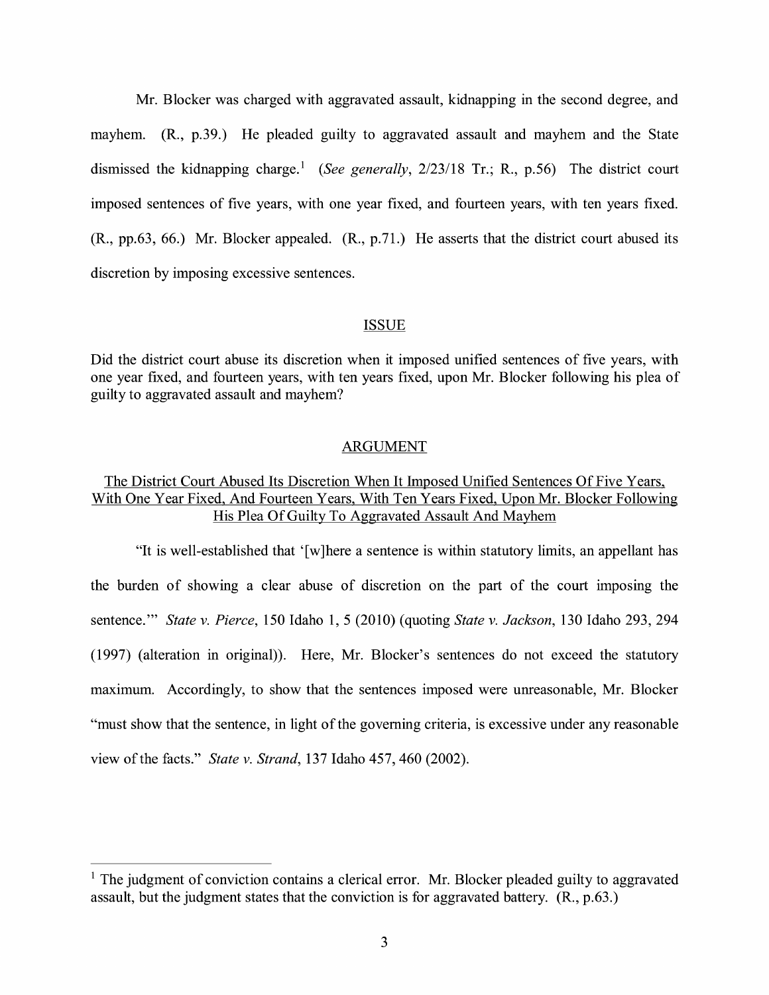Mr. Blocker was charged with aggravated assault, kidnapping in the second degree, and mayhem. (R., p.39.) He pleaded guilty to aggravated assault and mayhem and the State dismissed the kidnapping charge.<sup>1</sup> (See generally, 2/23/18 Tr.; R., p.56) The district court imposed sentences of five years, with one year fixed, and fourteen years, with ten years fixed. **(R.,** pp.63, 66.) Mr. Blocker appealed. (R., p.71.) He asserts that the district court abused its discretion by imposing excessive sentences.

#### ISSUE

Did the district court abuse its discretion when it imposed unified sentences of five years, with one year fixed, and fourteen years, with ten years fixed, upon Mr. Blocker following his plea of guilty to aggravated assault and mayhem?

#### ARGUMENT

## The District Court Abused Its Discretion When It Imposed Unified Sentences Of Five Years, With One Year Fixed, And Fourteen Years, With Ten Years Fixed, Upon Mr. Blocker Following His Plea Of Guilty To Aggravated Assault And Mayhem

"It is well-established that ' [ w ]here a sentence is within statutory limits, an appellant has the burden of showing a clear abuse of discretion on the part of the court imposing the sentence."' *State v. Pierce,* 150 Idaho 1, 5 (2010) (quoting *State v. Jackson,* 130 Idaho 293, 294 (1997) (alteration in original)). Here, Mr. Blocker's sentences do not exceed the statutory maximum. Accordingly, to show that the sentences imposed were unreasonable, Mr. Blocker "must show that the sentence, in light of the governing criteria, is excessive under any reasonable view of the facts." *State v. Strand,* 137 Idaho 457,460 (2002).

 $<sup>1</sup>$  The judgment of conviction contains a clerical error. Mr. Blocker pleaded guilty to aggravated</sup> assault, but the judgment states that the conviction is for aggravated battery. (R., p.63.)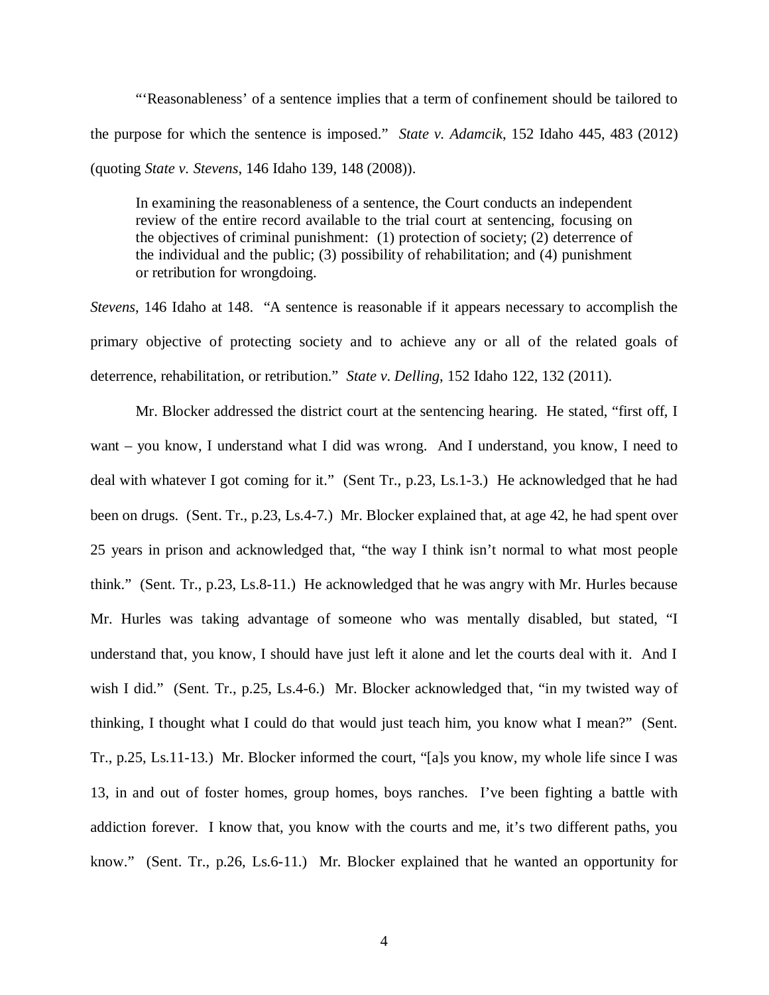"'Reasonableness' of a sentence implies that a term of confinement should be tailored to the purpose for which the sentence is imposed." *State v. Adamcik*, 152 Idaho 445, 483 (2012) (quoting *State v. Stevens*, 146 Idaho 139, 148 (2008)).

In examining the reasonableness of a sentence, the Court conducts an independent review of the entire record available to the trial court at sentencing, focusing on the objectives of criminal punishment: (1) protection of society; (2) deterrence of the individual and the public; (3) possibility of rehabilitation; and (4) punishment or retribution for wrongdoing.

*Stevens*, 146 Idaho at 148. "A sentence is reasonable if it appears necessary to accomplish the primary objective of protecting society and to achieve any or all of the related goals of deterrence, rehabilitation, or retribution." *State v. Delling*, 152 Idaho 122, 132 (2011).

Mr. Blocker addressed the district court at the sentencing hearing. He stated, "first off, I want – you know, I understand what I did was wrong. And I understand, you know, I need to deal with whatever I got coming for it." (Sent Tr., p.23, Ls.1-3.) He acknowledged that he had been on drugs. (Sent. Tr., p.23, Ls.4-7.) Mr. Blocker explained that, at age 42, he had spent over 25 years in prison and acknowledged that, "the way I think isn't normal to what most people think." (Sent. Tr., p.23, Ls.8-11.) He acknowledged that he was angry with Mr. Hurles because Mr. Hurles was taking advantage of someone who was mentally disabled, but stated, "I understand that, you know, I should have just left it alone and let the courts deal with it. And I wish I did." (Sent. Tr., p.25, Ls.4-6.) Mr. Blocker acknowledged that, "in my twisted way of thinking, I thought what I could do that would just teach him, you know what I mean?" (Sent. Tr., p.25, Ls.11-13.) Mr. Blocker informed the court, "[a]s you know, my whole life since I was 13, in and out of foster homes, group homes, boys ranches. I've been fighting a battle with addiction forever. I know that, you know with the courts and me, it's two different paths, you know." (Sent. Tr., p.26, Ls.6-11.) Mr. Blocker explained that he wanted an opportunity for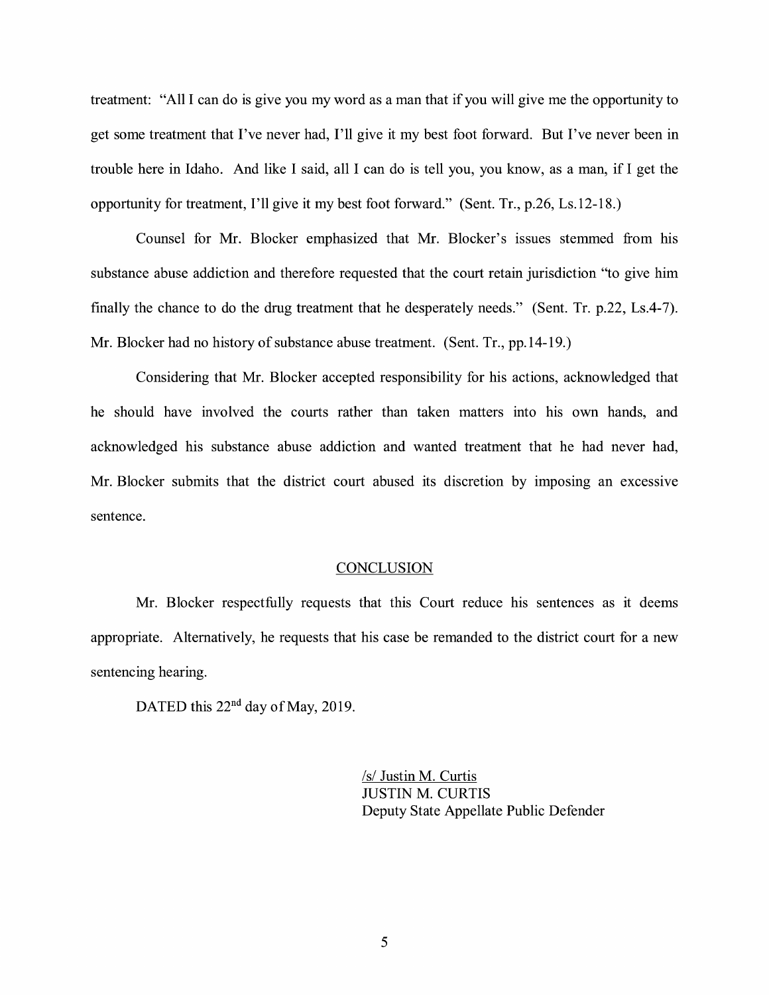treatment: "All I can do is give you my word as a man that if you will give me the opportunity to get some treatment that I've never had, I'll give it my best foot forward. But I've never been in trouble here in Idaho. And like I said, all I can do is tell you, you know, as a man, if I get the opportunity for treatment, I'll give it my best foot forward." (Sent. Tr., p.26, Ls.12-18.)

Counsel for Mr. Blocker emphasized that Mr. Blocker's issues stemmed from his substance abuse addiction and therefore requested that the court retain jurisdiction "to give him finally the chance to do the drug treatment that he desperately needs." (Sent. Tr. p.22, Ls.4-7). Mr. Blocker had no history of substance abuse treatment. (Sent. Tr., pp.14-19.)

Considering that Mr. Blocker accepted responsibility for his actions, acknowledged that he should have involved the courts rather than taken matters into his own hands, and acknowledged his substance abuse addiction and wanted treatment that he had never had, Mr. Blocker submits that the district court abused its discretion by imposing an excessive sentence.

#### **CONCLUSION**

Mr. Blocker respectfully requests that this Court reduce his sentences as it deems appropriate. Alternatively, he requests that his case be remanded to the district court for a new sentencing hearing.

DATED this  $22<sup>nd</sup>$  day of May, 2019.

*Isl* Justin M. Curtis JUSTIN M. CURTIS Deputy State Appellate Public Defender